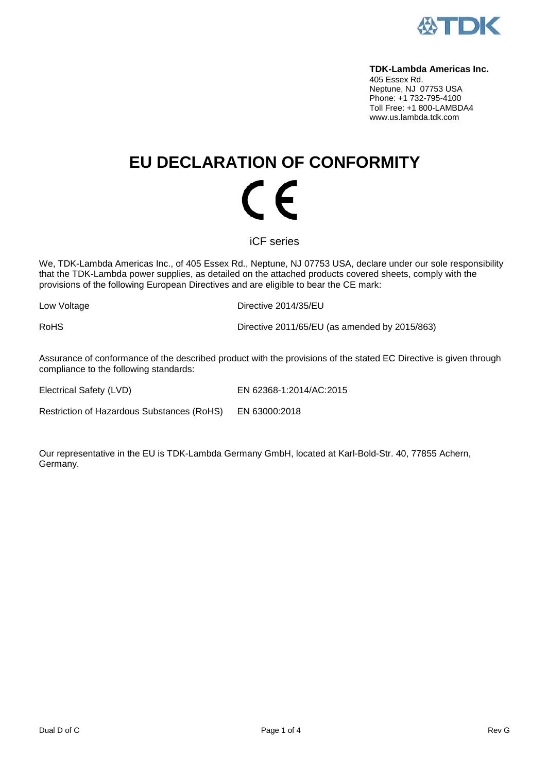

#### **TDK-Lambda Americas Inc.**

405 Essex Rd. Neptune, NJ 07753 USA Phone: +1 732-795-4100 Toll Free: +1 800-LAMBDA4 www.us.lambda.tdk.com

# **EU DECLARATION OF CONFORMITY** (  $\epsilon$

iCF series

We, TDK-Lambda Americas Inc., of 405 Essex Rd., Neptune, NJ 07753 USA, declare under our sole responsibility that the TDK-Lambda power supplies, as detailed on the attached products covered sheets, comply with the provisions of the following European Directives and are eligible to bear the CE mark:

Low Voltage **Directive 2014/35/EU** 

RoHS Directive 2011/65/EU (as amended by 2015/863)

Assurance of conformance of the described product with the provisions of the stated EC Directive is given through compliance to the following standards:

Electrical Safety (LVD) EN 62368-1:2014/AC:2015

Restriction of Hazardous Substances (RoHS) EN 63000:2018

Our representative in the EU is TDK-Lambda Germany GmbH, located at Karl-Bold-Str. 40, 77855 Achern, Germany.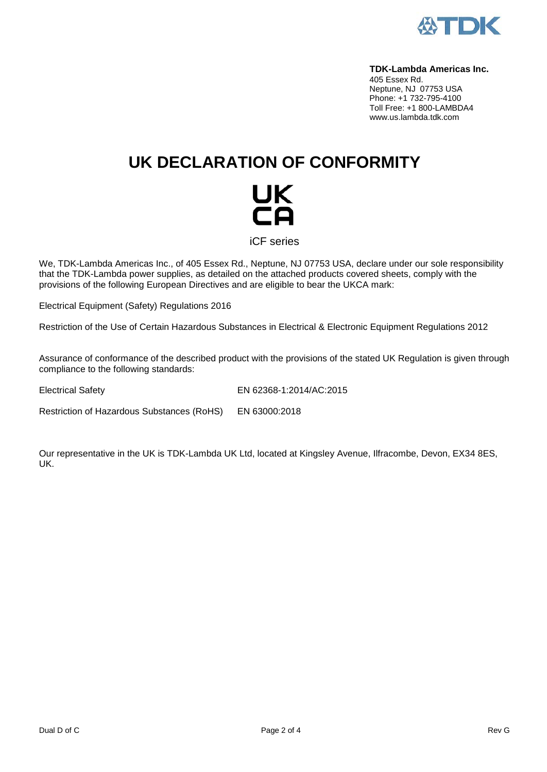

#### **TDK-Lambda Americas Inc.**

405 Essex Rd. Neptune, NJ 07753 USA Phone: +1 732-795-4100 Toll Free: +1 800-LAMBDA4 www.us.lambda.tdk.com

## **UK DECLARATION OF CONFORMITY**



iCF series

We, TDK-Lambda Americas Inc., of 405 Essex Rd., Neptune, NJ 07753 USA, declare under our sole responsibility that the TDK-Lambda power supplies, as detailed on the attached products covered sheets, comply with the provisions of the following European Directives and are eligible to bear the UKCA mark:

Electrical Equipment (Safety) Regulations 2016

Restriction of the Use of Certain Hazardous Substances in Electrical & Electronic Equipment Regulations 2012

Assurance of conformance of the described product with the provisions of the stated UK Regulation is given through compliance to the following standards:

Electrical Safety EN 62368-1:2014/AC:2015

Restriction of Hazardous Substances (RoHS) EN 63000:2018

Our representative in the UK is TDK-Lambda UK Ltd, located at Kingsley Avenue, Ilfracombe, Devon, EX34 8ES, UK.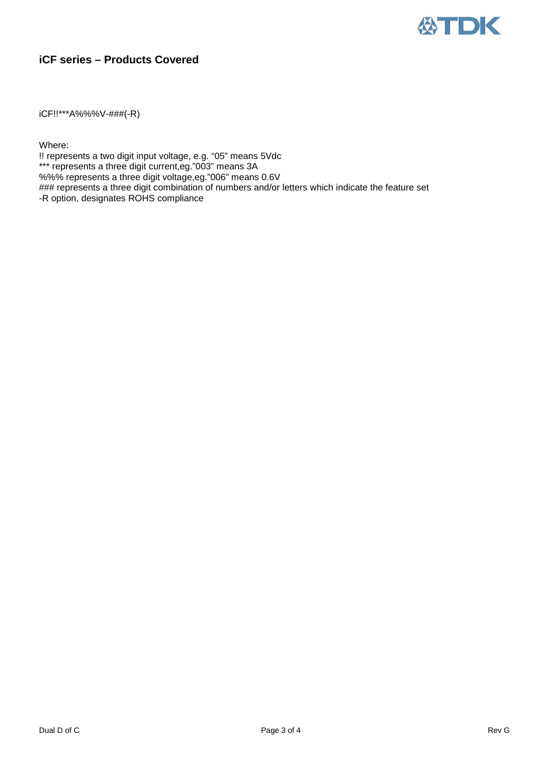

### **iCF series – Products Covered**

iCF!!\*\*\*A%%%V-###(-R)

Where:

!! represents a two digit input voltage, e.g. "05" means 5Vdc \*\*\* represents a three digit current,eg."003" means 3A %%% represents a three digit voltage,eg."006" means 0.6V ### represents a three digit combination of numbers and/or letters which indicate the feature set -R option, designates ROHS compliance